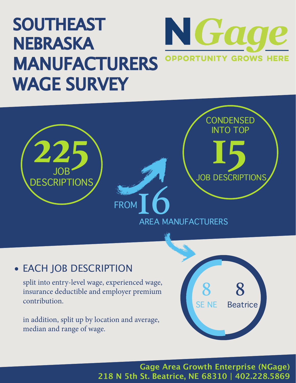## SOUTHEAST N Gage NEBRASKA **OPPORTUNITY GROWS HERE** MANUFACTURERS WAGE SURVEY



## • EACH JOB DESCRIPTION

split into entry-level wage, experienced wage, insurance deductible and employer premium contribution.

in addition, split up by location and average, median and range of wage.



**Gage Area Growth Enterprise (NGage) 218 N 5th St. Beatrice, NE 68310 | 402.228.5869**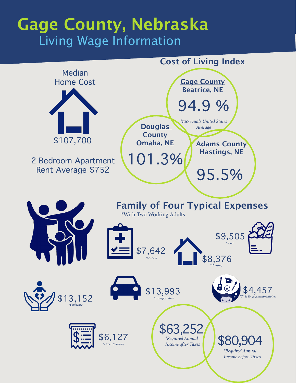## **Gage County, Nebraska** Living Wage Information

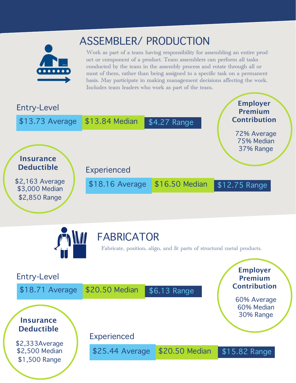

## ASSEMBLER/ PRODUCTION

Work as part of a team having responsibility for assembling an entire product or component of a product. Team assemblers can perform all tasks conducted by the team in the assembly process and rotate through all or most of them, rather than being assigned to a specific task on a permanent basis. May participate in making management decisions affecting the work. Includes team leaders who work as part of the team.

| <b>Entry-Level</b>                                 |                    |                | <b>Employer</b><br><b>Premium</b>      |
|----------------------------------------------------|--------------------|----------------|----------------------------------------|
| \$13.73 Average                                    | \$13.84 Median     | \$4.27 Range   | <b>Contribution</b>                    |
| <b>Insurance</b><br><b>Deductible</b>              | <b>Experienced</b> |                | 72% Average<br>75% Median<br>37% Range |
| \$2,163 Average<br>\$3,000 Median<br>\$2,850 Range | \$18.16 Average    | \$16.50 Median | \$12.75 Range                          |



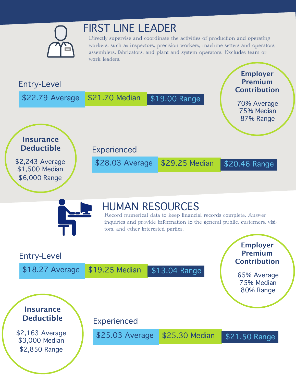

## FIRST LINE LEADER

Directly supervise and coordinate the activities of production and operating workers, such as inspectors, precision workers, machine setters and operators, assemblers, fabricators, and plant and system operators. Excludes team or work leaders.



**Insurance Deductible**

\$2,163 Average \$3,000 Median \$2,850 Range

\$25.03 Average \$25.30 Median \$21.50 Range

Experienced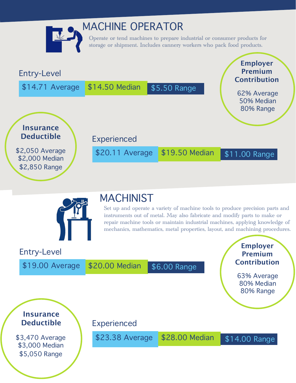

## MACHINE OPERATOR

Operate or tend machines to prepare industrial or consumer products for storage or shipment. Includes cannery workers who pack food products.





## MACHINIST

Set up and operate a variety of machine tools to produce precision parts and instruments out of metal. May also fabricate and modify parts to make or repair machine tools or maintain industrial machines, applying knowledge of mechanics, mathematics, metal properties, layout, and machining procedures.

Entry-Level

\$19.00 Average \$20.00 Median \$6.00 Range

**Employer Premium Contribution**

63% Average 80% Median 80% Range

**Insurance Deductible**

\$3,470 Average \$3,000 Median \$5,050 Range

Experienced

\$23.38 Average \$28.00 Median \$14.00 Range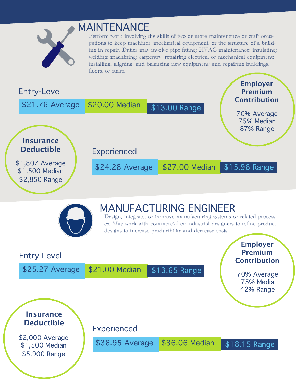

## MAINTENANCE

Perform work involving the skills of two or more maintenance or craft occupations to keep machines, mechanical equipment, or the structure of a building in repair. Duties may involve pipe fitting; HVAC maintenance; insulating; welding; machining; carpentry; repairing electrical or mechanical equipment; installing, aligning, and balancing new equipment; and repairing buildings, floors, or stairs.





## MANUFACTURING ENGINEER

Design, integrate, or improve manufacturing systems or related processes. May work with commercial or industrial designers to refine product designs to increase producibility and decrease costs.

#### Entry-Level \$25.27 Average \$21.00 Median \$13.65 Range **Employer Premium Contribution** 70% Average 75% Media 42% Range **Insurance Deductible** \$2,000 Average \$1,500 Median \$5,900 Range Experienced \$36.95 Average \$36.06 Median \$18.15 Range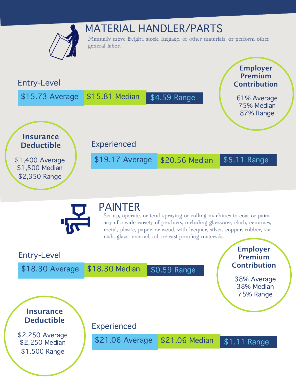



#### PAINTER

Set up, operate, or tend spraying or rolling machines to coat or paint any of a wide variety of products, including glassware, cloth, ceramics, metal, plastic, paper, or wood, with lacquer, silver, copper, rubber, varnish, glaze, enamel, oil, or rust-proofing materials.

#### Entry-Level \$18.30 Average \$18.30 Median \$0.59 Range **Employer Premium Contribution** 38% Average 38% Median 75% Range **Insurance Deductible** \$2,250 Average \$2,250 Median \$1,500 Range Experienced \$21.06 Average \$21.06 Median \$1.11 Range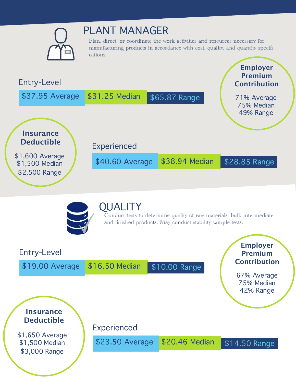

## PLANT MANAGER

Plan, direct, or coordinate the work activities and resources necessary for manufacturing products in accordance with cost, quality, and quantity specifications.





#### **OUALITY**

Conduct tests to determine quality of raw materials, bulk intermediate and finished products. May conduct stability sample tests.

#### Entry-Level

\$19.00 Average \$16.50 Median \$10.00 Range

**Employer Premium Contribution**

67% Average 75% Median 42% Range

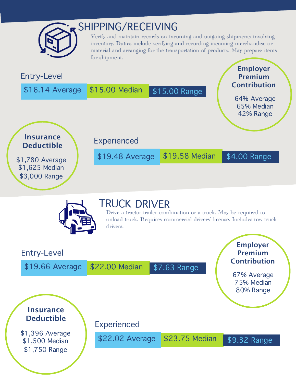

## SHIPPING/RECEIVING

Verify and maintain records on incoming and outgoing shipments involving inventory. Duties include verifying and recording incoming merchandise or material and arranging for the transportation of products. May prepare items for shipment.

#### Entry-Level \$16.14 Average \$15.00 Median \$15.00 Range **Employer Premium Contribution** 64% Average 65% Median 42% Range **Insurance Deductible** \$1,780 Average \$1,625 Median Experienced \$19.48 Average \$19.58 Median \$4.00 Range



### TRUCK DRIVER

Drive a tractor-trailer combination or a truck. May be required to unload truck. Requires commercial drivers' license. Includes tow truck drivers.

#### Entry-Level

\$3,000 Range

\$19.66 Average \$22.00 Median \$7.63 Range

#### **Employer Premium Contribution**

67% Average 75% Median 80% Range



\$1,396 Average \$1,500 Median \$1,750 Range

Experienced

\$22.02 Average \$23.75 Median \$9.32 Range